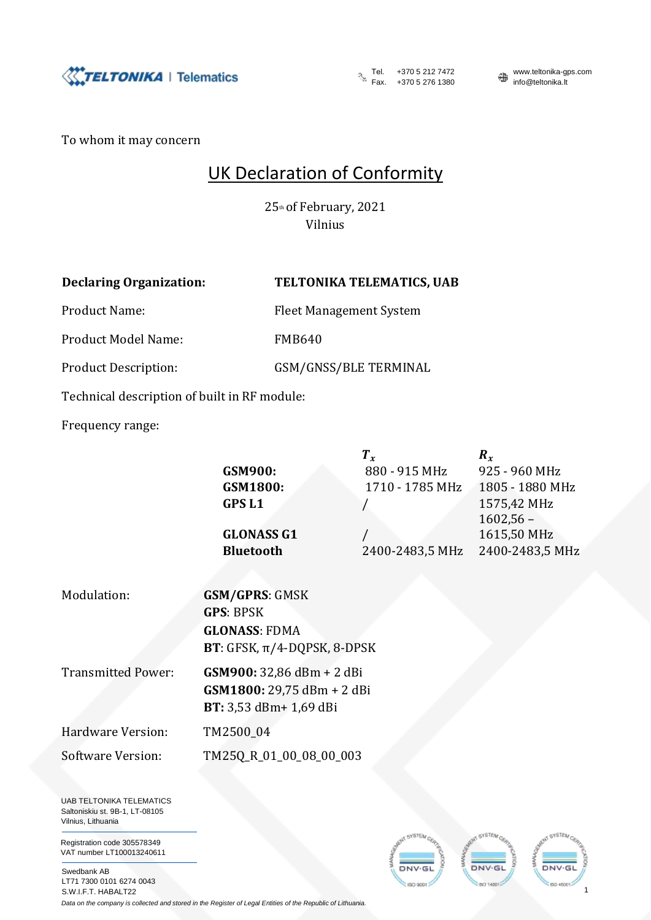

Fax. +370 5 212 7472<br>Fax. +370 5 276 1380

**™ww.teltonika-gps.com**<br>info@teltonika.lt

1

**INCL TANK** 

To whom it may concern

## UK Declaration of Conformity

25th of February, 2021 Vilnius

## **Declaring Organization: TELTONIKA TELEMATICS, UAB**

Product Name: Fleet Management System

Product Model Name: FMB640

Product Description: GSM/GNSS/BLE TERMINAL

Technical description of built in RF module:

Frequency range:

|                                                                                                                     | GSM900:<br>GSM1800:<br><b>GPSL1</b><br><b>GLONASS G1</b><br><b>Bluetooth</b>                          | $T_{x}$<br>880 - 915 MHz<br>1710 - 1785 MHz<br>2400-2483,5 MHz | $\boldsymbol{R}_x$<br>925 - 960 MHz<br>1805 - 1880 MHz<br>1575,42 MHz<br>$1602,56 -$<br>1615,50 MHz<br>2400-2483,5 MHz |
|---------------------------------------------------------------------------------------------------------------------|-------------------------------------------------------------------------------------------------------|----------------------------------------------------------------|------------------------------------------------------------------------------------------------------------------------|
| Modulation:                                                                                                         | <b>GSM/GPRS: GMSK</b><br><b>GPS: BPSK</b><br><b>GLONASS: FDMA</b><br>BT: GFSK, $\pi$ /4-DQPSK, 8-DPSK |                                                                |                                                                                                                        |
| <b>Transmitted Power:</b>                                                                                           | GSM900: 32,86 dBm + 2 dBi<br>GSM1800: 29,75 dBm + 2 dBi<br>BT: 3,53 dBm+ 1,69 dBi                     |                                                                |                                                                                                                        |
| Hardware Version:                                                                                                   | TM2500_04                                                                                             |                                                                |                                                                                                                        |
| <b>Software Version:</b><br><b>UAB TELTONIKA TELEMATICS</b><br>Saltoniskiu st. 9B-1, LT-08105<br>Vilnius, Lithuania | TM25Q_R_01_00_08_00_003                                                                               |                                                                |                                                                                                                        |
| Registration code 305578349                                                                                         |                                                                                                       |                                                                |                                                                                                                        |

Registration VAT number LT100013240611

Swedbank AB LT71 7300 0101 6274 0043 S.W.I.F.T. HABALT22

*Data on the company is collected and stored in the Register of Legal Entities of the Republic of Lithuania.*